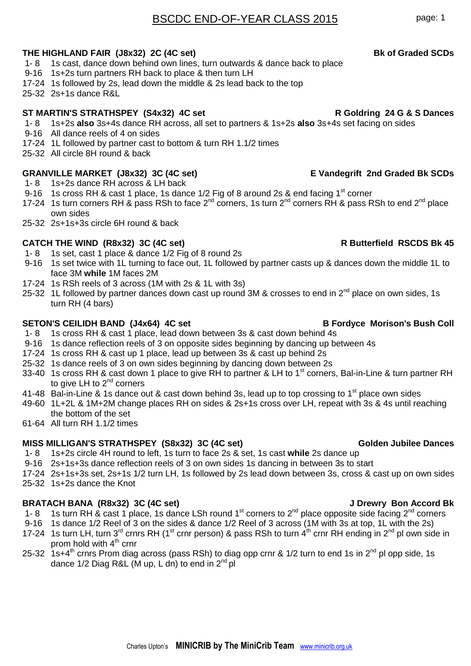# BSCDC END-OF-YEAR CLASS 2015 page: 1

## **THE HIGHLAND FAIR (J8x32) 2C (4C set) Bk of Graded SCDs**

- 1- 8 1s cast, dance down behind own lines, turn outwards & dance back to place
- 9-16 1s+2s turn partners RH back to place & then turn LH
- 17-24 1s followed by 2s, lead down the middle & 2s lead back to the top
- 25-32 2s+1s dance R&L

## ST MARTIN'S STRATHSPEY (S4x32) 4C set R Goldring 24 G & S Dances

- 1- 8 1s+2s **also** 3s+4s dance RH across, all set to partners & 1s+2s **also** 3s+4s set facing on sides
- 9-16 All dance reels of 4 on sides
- 17-24 1L followed by partner cast to bottom & turn RH 1.1/2 times
- 25-32 All circle 8H round & back

## GRANVILLE MARKET (J8x32) 3C (4C set) E Vandegrift 2nd Graded Bk SCDs

- 1- 8 1s+2s dance RH across & LH back
- 9-16 1s cross RH & cast 1 place, 1s dance 1/2 Fig of 8 around 2s & end facing 1<sup>st</sup> corner
- 17-24 1s turn corners RH & pass RSh to face 2<sup>nd</sup> corners, 1s turn 2<sup>nd</sup> corners RH & pass RSh to end 2<sup>nd</sup> place own sides
- 25-32 2s+1s+3s circle 6H round & back

## CATCH THE WIND (R8x32) 3C (4C set) **R** Butterfield RSCDS Bk 45

- 1- 8 1s set, cast 1 place & dance 1/2 Fig of 8 round 2s
- 9-16 1s set twice with 1L turning to face out, 1L followed by partner casts up & dances down the middle 1L to face 3M **while** 1M faces 2M
- 17-24 1s RSh reels of 3 across (1M with 2s & 1L with 3s)
- 25-32 1L followed by partner dances down cast up round 3M & crosses to end in 2<sup>nd</sup> place on own sides, 1s turn RH (4 bars)

### SETON'S CEILIDH BAND (J4x64) 4C set **B Fordyce Morison's Bush Coll**

- 1- 8 1s cross RH & cast 1 place, lead down between 3s & cast down behind 4s
- 9-16 1s dance reflection reels of 3 on opposite sides beginning by dancing up between 4s
- 17-24 1s cross RH & cast up 1 place, lead up between 3s & cast up behind 2s
- 25-32 1s dance reels of 3 on own sides beginning by dancing down between 2s
- 33-40 1s cross RH & cast down 1 place to give RH to partner & LH to 1<sup>st</sup> corners, Bal-in-Line & turn partner RH to give LH to  $2<sup>nd</sup>$  corners
- 41-48 Bal-in-Line & 1s dance out & cast down behind 3s, lead up to top crossing to 1<sup>st</sup> place own sides
- 49-60 1L+2L & 1M+2M change places RH on sides & 2s+1s cross over LH, repeat with 3s & 4s until reaching the bottom of the set
- 61-64 All turn RH 1.1/2 times

## **MISS MILLIGAN'S STRATHSPEY (S8x32) 3C (4C set)** Golden Jubilee Dances

- 1- 8 1s+2s circle 4H round to left, 1s turn to face 2s & set, 1s cast **while** 2s dance up
- 9-16 2s+1s+3s dance reflection reels of 3 on own sides 1s dancing in between 3s to start
- 17-24 2s+1s+3s set, 2s+1s 1/2 turn LH, 1s followed by 2s lead down between 3s, cross & cast up on own sides
- 25-32 1s+2s dance the Knot

## **BRATACH BANA (R8x32) 3C (4C set) J Drewry Bon Accord Bk**

- 1- 8 1s turn RH & cast 1 place, 1s dance LSh round 1<sup>st</sup> corners to 2<sup>nd</sup> place opposite side facing 2<sup>nd</sup> corners
- 9-16 1s dance 1/2 Reel of 3 on the sides & dance 1/2 Reel of 3 across (1M with 3s at top, 1L with the 2s) 17-24 1s turn LH, turn  $3^{rd}$  crnrs RH (1<sup>st</sup> crnr person) & pass RSh to turn  $4^{th}$  crnr RH ending in  $2^{nd}$  pl own side in
- prom hold with  $4<sup>th</sup>$  crnr
- 25-32 1s+4<sup>th</sup> crnrs Prom diag across (pass RSh) to diag opp crnr & 1/2 turn to end 1s in 2<sup>nd</sup> pl opp side, 1s dance  $1/2$  Diag R&L (M up, L dn) to end in  $2^{nd}$  pl

### Charles Upton's **MINICRIB by The MiniCrib Team** [www.minicrib.org.uk](http://www.minicrib.org.uk/)